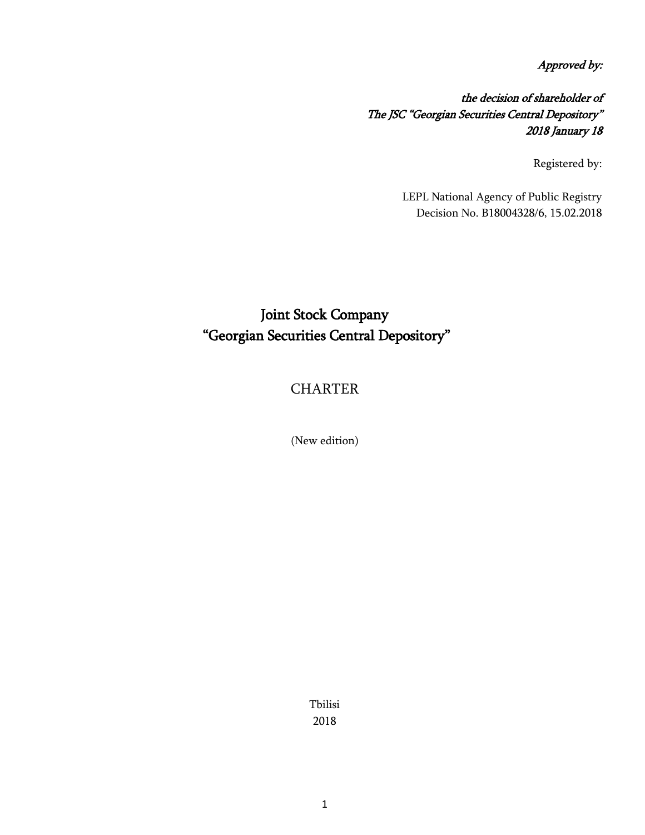Approved by:

the decision of shareholder of The JSC "Georgian Securities Central Depository" 2018 January 18

Registered by:

LEPL National Agency of Public Registry Decision No. B18004328/6, 15.02.2018

# Joint Stock Company "Georgian Securities Central Depository"

## **CHARTER**

(New edition)

Tbilisi 2018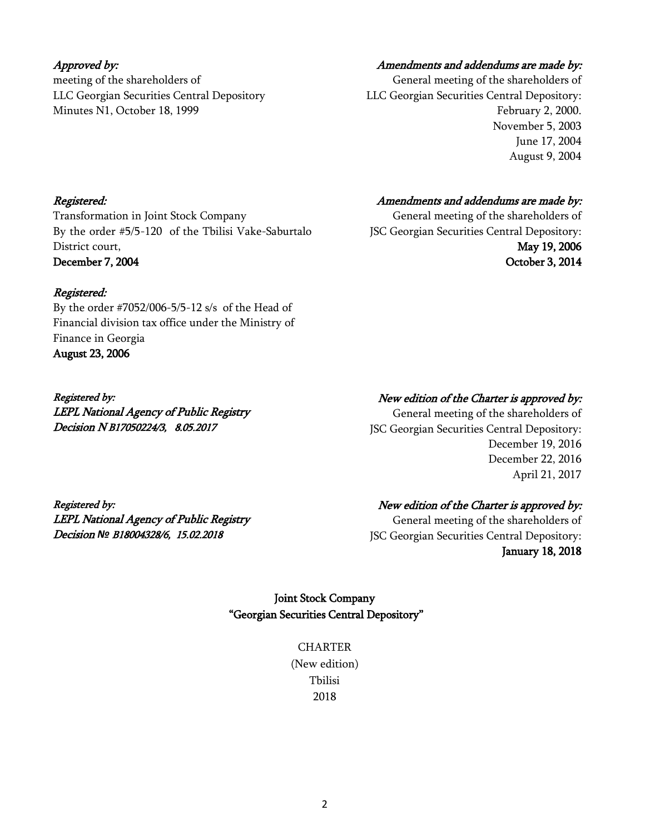### Approved by:

meeting of the shareholders of LLC Georgian Securities Central Depository Minutes N1, October 18, 1999

### Amendments and addendums are made by:

General meeting of the shareholders of LLC Georgian Securities Central Depository: February 2, 2000. November 5, 2003 June 17, 2004 August 9, 2004

#### Registered:

Transformation in Joint Stock Company By the order #5/5-120 of the Tbilisi Vake-Saburtalo District court, December 7, 2004

#### Registered:

By the order #7052/006-5/5-12 s/s of the Head of Financial division tax office under the Ministry of Finance in Georgia August 23, 2006

Registered by: LEPL National Agency of Public Registry Decision N B17050224/3, 8.05.2017

#### Amendments and addendums are made by:

General meeting of the shareholders of JSC Georgian Securities Central Depository: May 19, 2006 October 3, 2014

### New edition of the Charter is approved by:

General meeting of the shareholders of JSC Georgian Securities Central Depository: December 19, 2016 December 22, 2016 April 21, 2017

Registered by: LEPL National Agency of Public Registry Decision *№* B18004328/6, 15.02.2018

### New edition of the Charter is approved by:

General meeting of the shareholders of JSC Georgian Securities Central Depository: January 18, 2018

### Joint Stock Company "Georgian Securities Central Depository"

**CHARTER** (New edition) Tbilisi 2018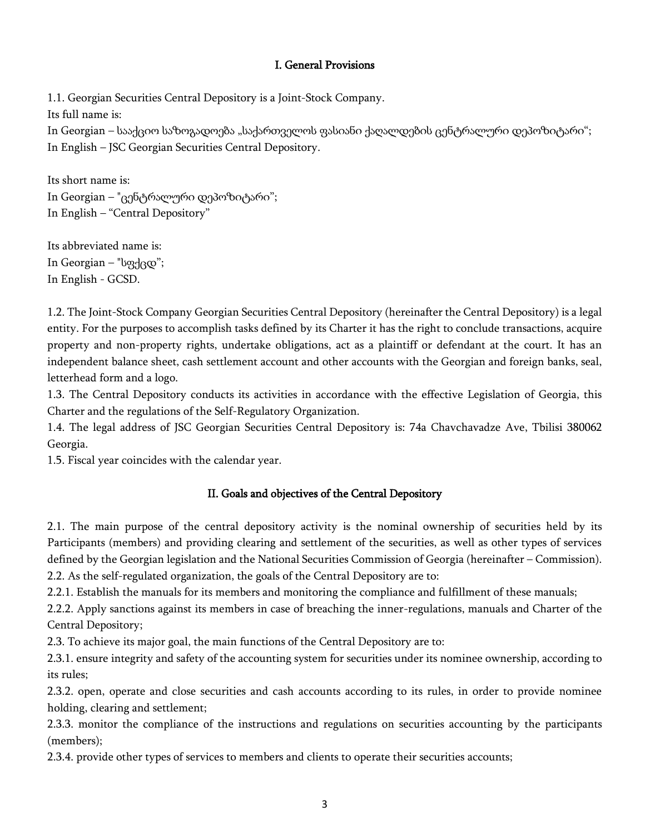### I. General Provisions

1.1. Georgian Securities Central Depository is a Joint-Stock Company.

Its full name is:

In Georgian – სააქციო საზოგადოება "საქართველოს ფასიანი ქაღალდების ცენტრალური დეპოზიტარი"; In English – JSC Georgian Securities Central Depository.

Its short name is: In Georgian – "ცენტრალური დეპოზიტარი"; In English – "Central Depository"

Its abbreviated name is: In Georgian – "სფქცდ"; In English - GCSD.

1.2. The Joint-Stock Company Georgian Securities Central Depository (hereinafter the Central Depository) is a legal entity. For the purposes to accomplish tasks defined by its Charter it has the right to conclude transactions, acquire property and non-property rights, undertake obligations, act as a plaintiff or defendant at the court. It has an independent balance sheet, cash settlement account and other accounts with the Georgian and foreign banks, seal, letterhead form and a logo.

1.3. The Central Depository conducts its activities in accordance with the effective Legislation of Georgia, this Charter and the regulations of the Self-Regulatory Organization.

1.4. The legal address of JSC Georgian Securities Central Depository is: 74a Chavchavadze Ave, Tbilisi 380062 Georgia.

1.5. Fiscal year coincides with the calendar year.

### II. Goals and objectives of the Central Depository

2.1. The main purpose of the central depository activity is the nominal ownership of securities held by its Participants (members) and providing clearing and settlement of the securities, as well as other types of services defined by the Georgian legislation and the National Securities Commission of Georgia (hereinafter – Commission). 2.2. As the self-regulated organization, the goals of the Central Depository are to:

2.2.1. Establish the manuals for its members and monitoring the compliance and fulfillment of these manuals;

2.2.2. Apply sanctions against its members in case of breaching the inner-regulations, manuals and Charter of the Central Depository;

2.3. To achieve its major goal, the main functions of the Central Depository are to:

2.3.1. ensure integrity and safety of the accounting system for securities under its nominee ownership, according to its rules;

2.3.2. open, operate and close securities and cash accounts according to its rules, in order to provide nominee holding, clearing and settlement;

2.3.3. monitor the compliance of the instructions and regulations on securities accounting by the participants (members);

2.3.4. provide other types of services to members and clients to operate their securities accounts;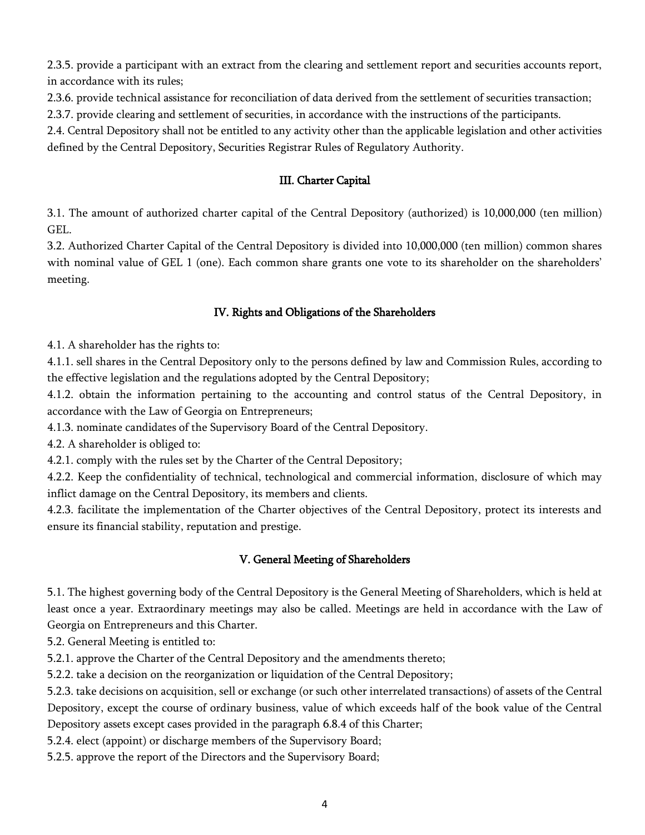2.3.5. provide a participant with an extract from the clearing and settlement report and securities accounts report, in accordance with its rules;

2.3.6. provide technical assistance for reconciliation of data derived from the settlement of securities transaction;

2.3.7. provide clearing and settlement of securities, in accordance with the instructions of the participants.

2.4. Central Depository shall not be entitled to any activity other than the applicable legislation and other activities defined by the Central Depository, Securities Registrar Rules of Regulatory Authority.

### III. Charter Capital

3.1. The amount of authorized charter capital of the Central Depository (authorized) is 10,000,000 (ten million) GEL.

3.2. Authorized Charter Capital of the Central Depository is divided into 10,000,000 (ten million) common shares with nominal value of GEL 1 (one). Each common share grants one vote to its shareholder on the shareholders' meeting.

### IV. Rights and Obligations of the Shareholders

4.1. A shareholder has the rights to:

4.1.1. sell shares in the Central Depository only to the persons defined by law and Commission Rules, according to the effective legislation and the regulations adopted by the Central Depository;

4.1.2. obtain the information pertaining to the accounting and control status of the Central Depository, in accordance with the Law of Georgia on Entrepreneurs;

4.1.3. nominate candidates of the Supervisory Board of the Central Depository.

4.2. A shareholder is obliged to:

4.2.1. comply with the rules set by the Charter of the Central Depository;

4.2.2. Keep the confidentiality of technical, technological and commercial information, disclosure of which may inflict damage on the Central Depository, its members and clients.

4.2.3. facilitate the implementation of the Charter objectives of the Central Depository, protect its interests and ensure its financial stability, reputation and prestige.

### V. General Meeting of Shareholders

5.1. The highest governing body of the Central Depository is the General Meeting of Shareholders, which is held at least once a year. Extraordinary meetings may also be called. Meetings are held in accordance with the Law of Georgia on Entrepreneurs and this Charter.

5.2. General Meeting is entitled to:

5.2.1. approve the Charter of the Central Depository and the amendments thereto;

5.2.2. take a decision on the reorganization or liquidation of the Central Depository;

5.2.3. take decisions on acquisition, sell or exchange (or such other interrelated transactions) of assets of the Central Depository, except the course of ordinary business, value of which exceeds half of the book value of the Central Depository assets except cases provided in the paragraph 6.8.4 of this Charter;

5.2.4. elect (appoint) or discharge members of the Supervisory Board;

5.2.5. approve the report of the Directors and the Supervisory Board;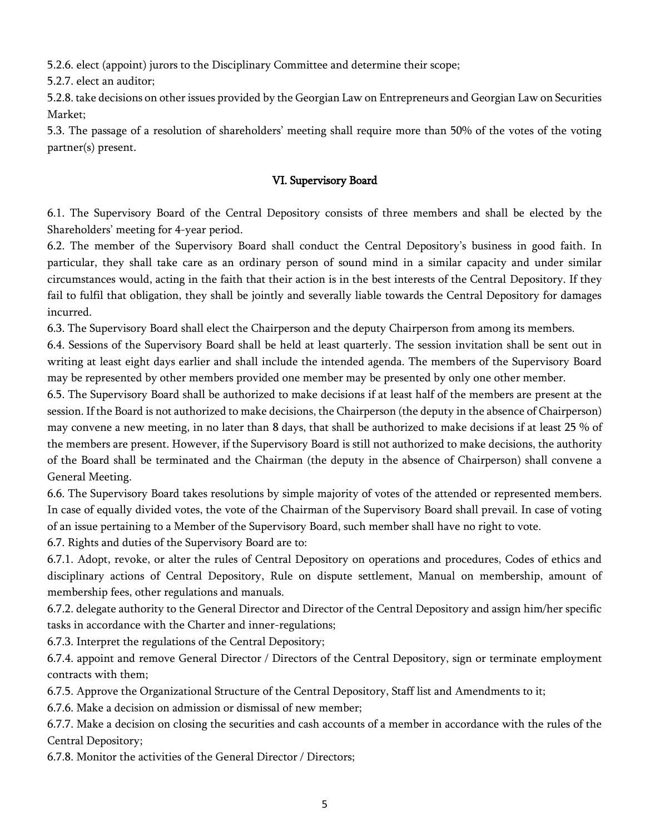5.2.6. elect (appoint) jurors to the Disciplinary Committee and determine their scope;

5.2.7. elect an auditor;

5.2.8. take decisions on other issues provided by the Georgian Law on Entrepreneurs and Georgian Law on Securities Market;

5.3. The passage of a resolution of shareholders' meeting shall require more than 50% of the votes of the voting partner(s) present.

### VI. Supervisory Board

6.1. The Supervisory Board of the Central Depository consists of three members and shall be elected by the Shareholders' meeting for 4-year period.

6.2. The member of the Supervisory Board shall conduct the Central Depository's business in good faith. In particular, they shall take care as an ordinary person of sound mind in a similar capacity and under similar circumstances would, acting in the faith that their action is in the best interests of the Central Depository. If they fail to fulfil that obligation, they shall be jointly and severally liable towards the Central Depository for damages incurred.

6.3. The Supervisory Board shall elect the Chairperson and the deputy Chairperson from among its members.

6.4. Sessions of the Supervisory Board shall be held at least quarterly. The session invitation shall be sent out in writing at least eight days earlier and shall include the intended agenda. The members of the Supervisory Board may be represented by other members provided one member may be presented by only one other member.

6.5. The Supervisory Board shall be authorized to make decisions if at least half of the members are present at the session. If the Board is not authorized to make decisions, the Chairperson (the deputy in the absence of Chairperson) may convene a new meeting, in no later than 8 days, that shall be authorized to make decisions if at least 25 % of the members are present. However, if the Supervisory Board is still not authorized to make decisions, the authority of the Board shall be terminated and the Chairman (the deputy in the absence of Chairperson) shall convene a General Meeting.

6.6. The Supervisory Board takes resolutions by simple majority of votes of the attended or represented members. In case of equally divided votes, the vote of the Chairman of the Supervisory Board shall prevail. In case of voting of an issue pertaining to a Member of the Supervisory Board, such member shall have no right to vote.

6.7. Rights and duties of the Supervisory Board are to:

6.7.1. Adopt, revoke, or alter the rules of Central Depository on operations and procedures, Codes of ethics and disciplinary actions of Central Depository, Rule on dispute settlement, Manual on membership, amount of membership fees, other regulations and manuals.

6.7.2. delegate authority to the General Director and Director of the Central Depository and assign him/her specific tasks in accordance with the Charter and inner-regulations;

6.7.3. Interpret the regulations of the Central Depository;

6.7.4. appoint and remove General Director / Directors of the Central Depository, sign or terminate employment contracts with them;

6.7.5. Approve the Organizational Structure of the Central Depository, Staff list and Amendments to it;

6.7.6. Make a decision on admission or dismissal of new member;

6.7.7. Make a decision on closing the securities and cash accounts of a member in accordance with the rules of the Central Depository;

6.7.8. Monitor the activities of the General Director / Directors;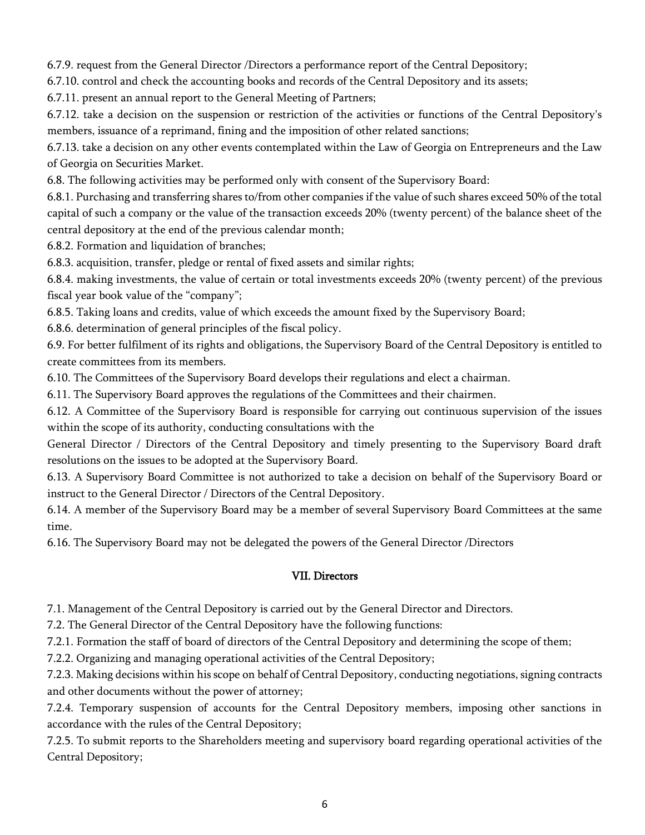6.7.9. request from the General Director /Directors a performance report of the Central Depository;

6.7.10. control and check the accounting books and records of the Central Depository and its assets;

6.7.11. present an annual report to the General Meeting of Partners;

6.7.12. take a decision on the suspension or restriction of the activities or functions of the Central Depository's members, issuance of a reprimand, fining and the imposition of other related sanctions;

6.7.13. take a decision on any other events contemplated within the Law of Georgia on Entrepreneurs and the Law of Georgia on Securities Market.

6.8. The following activities may be performed only with consent of the Supervisory Board:

6.8.1. Purchasing and transferring shares to/from other companies if the value of such shares exceed 50% of the total capital of such a company or the value of the transaction exceeds 20% (twenty percent) of the balance sheet of the central depository at the end of the previous calendar month;

6.8.2. Formation and liquidation of branches;

6.8.3. acquisition, transfer, pledge or rental of fixed assets and similar rights;

6.8.4. making investments, the value of certain or total investments exceeds 20% (twenty percent) of the previous fiscal year book value of the "company";

6.8.5. Taking loans and credits, value of which exceeds the amount fixed by the Supervisory Board;

6.8.6. determination of general principles of the fiscal policy.

6.9. For better fulfilment of its rights and obligations, the Supervisory Board of the Central Depository is entitled to create committees from its members.

6.10. The Committees of the Supervisory Board develops their regulations and elect a chairman.

6.11. The Supervisory Board approves the regulations of the Committees and their chairmen.

6.12. A Committee of the Supervisory Board is responsible for carrying out continuous supervision of the issues within the scope of its authority, conducting consultations with the

General Director / Directors of the Central Depository and timely presenting to the Supervisory Board draft resolutions on the issues to be adopted at the Supervisory Board.

6.13. A Supervisory Board Committee is not authorized to take a decision on behalf of the Supervisory Board or instruct to the General Director / Directors of the Central Depository.

6.14. A member of the Supervisory Board may be a member of several Supervisory Board Committees at the same time.

6.16. The Supervisory Board may not be delegated the powers of the General Director /Directors

### VII. Directors

7.1. Management of the Central Depository is carried out by the General Director and Directors.

7.2. The General Director of the Central Depository have the following functions:

7.2.1. Formation the staff of board of directors of the Central Depository and determining the scope of them;

7.2.2. Organizing and managing operational activities of the Central Depository;

7.2.3. Making decisions within his scope on behalf of Central Depository, conducting negotiations, signing contracts and other documents without the power of attorney;

7.2.4. Temporary suspension of accounts for the Central Depository members, imposing other sanctions in accordance with the rules of the Central Depository;

7.2.5. To submit reports to the Shareholders meeting and supervisory board regarding operational activities of the Central Depository;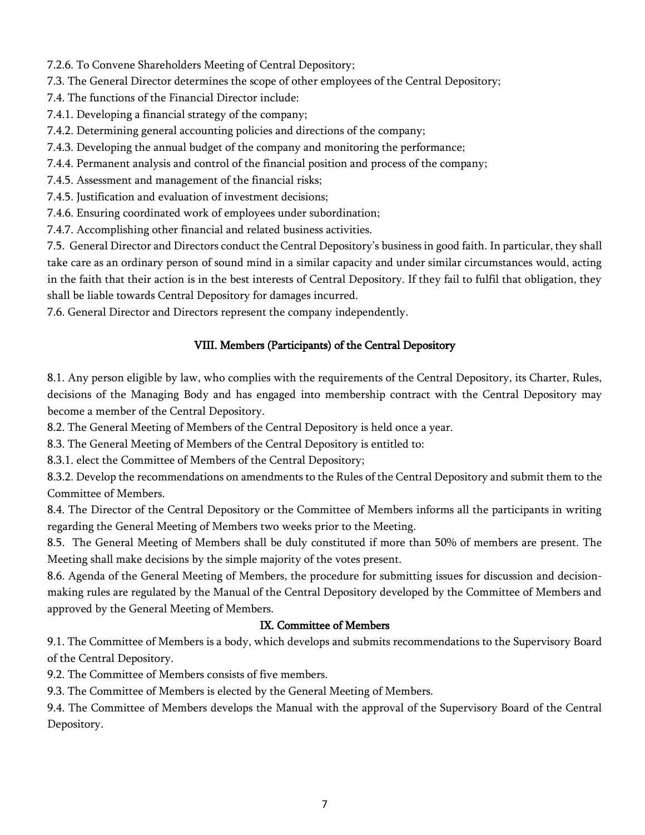- 7.2.6. To Convene Shareholders Meeting of Central Depository;
- 7.3. The General Director determines the scope of other employees of the Central Depository;
- 7.4. The functions of the Financial Director include:
- 7.4.1. Developing a financial strategy of the company;
- 7.4.2. Determining general accounting policies and directions of the company;
- 7.4.3. Developing the annual budget of the company and monitoring the performance;
- 7.4.4. Permanent analysis and control of the financial position and process of the company;
- 7.4.5. Assessment and management of the financial risks;
- 7.4.5. Justification and evaluation of investment decisions;
- 7.4.6. Ensuring coordinated work of employees under subordination;
- 7.4.7. Accomplishing other financial and related business activities.

7.5. General Director and Directors conduct the Central Depository's business in good faith. In particular, they shall take care as an ordinary person of sound mind in a similar capacity and under similar circumstances would, acting in the faith that their action is in the best interests of Central Depository. If they fail to fulfil that obligation, they shall be liable towards Central Depository for damages incurred.

7.6. General Director and Directors represent the company independently.

### VIII. Members (Participants) of the Central Depository

8.1. Any person eligible by law, who complies with the requirements of the Central Depository, its Charter, Rules, decisions of the Managing Body and has engaged into membership contract with the Central Depository may become a member of the Central Depository.

8.2. The General Meeting of Members of the Central Depository is held once a year.

8.3. The General Meeting of Members of the Central Depository is entitled to:

8.3.1. elect the Committee of Members of the Central Depository;

8.3.2. Develop the recommendations on amendments to the Rules of the Central Depository and submit them to the Committee of Members.

8.4. The Director of the Central Depository or the Committee of Members informs all the participants in writing regarding the General Meeting of Members two weeks prior to the Meeting.

8.5. The General Meeting of Members shall be duly constituted if more than 50% of members are present. The Meeting shall make decisions by the simple majority of the votes present.

8.6. Agenda of the General Meeting of Members, the procedure for submitting issues for discussion and decisionmaking rules are regulated by the Manual of the Central Depository developed by the Committee of Members and approved by the General Meeting of Members.

### IX. Committee of Members

9.1. The Committee of Members is a body, which develops and submits recommendations to the Supervisory Board of the Central Depository.

9.2. The Committee of Members consists of five members.

9.3. The Committee of Members is elected by the General Meeting of Members.

9.4. The Committee of Members develops the Manual with the approval of the Supervisory Board of the Central Depository.